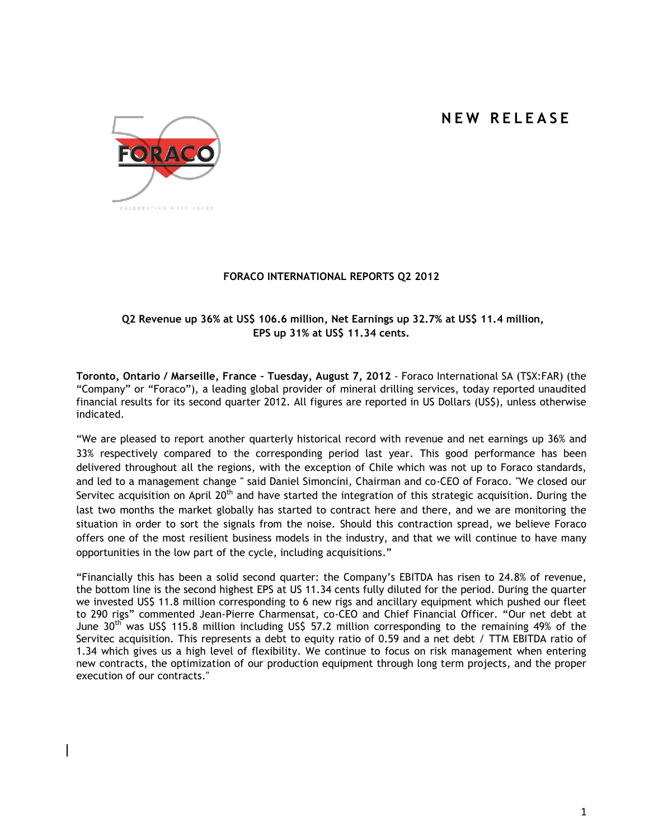# **N E W R E L E A S E**



# **FORACO INTERNATIONAL REPORTS Q2 2012**

# **Q2 Revenue up 36% at US\$ 106.6 million, Net Earnings up 32.7% at US\$ 11.4 million, EPS up 31% at US\$ 11.34 cents.**

**Toronto, Ontario / Marseille, France – Tuesday, August 7, 2012** - Foraco International SA (TSX:FAR) (the "Company" or "Foraco"), a leading global provider of mineral drilling services, today reported unaudited financial results for its second quarter 2012. All figures are reported in US Dollars (US\$), unless otherwise indicated.

"We are pleased to report another quarterly historical record with revenue and net earnings up 36% and 33% respectively compared to the corresponding period last year. This good performance has been delivered throughout all the regions, with the exception of Chile which was not up to Foraco standards, and led to a management change " said Daniel Simoncini, Chairman and co-CEO of Foraco. "We closed our Servitec acquisition on April  $20<sup>th</sup>$  and have started the integration of this strategic acquisition. During the last two months the market globally has started to contract here and there, and we are monitoring the situation in order to sort the signals from the noise. Should this contraction spread, we believe Foraco offers one of the most resilient business models in the industry, and that we will continue to have many opportunities in the low part of the cycle, including acquisitions."

"Financially this has been a solid second quarter: the Company's EBITDA has risen to 24.8% of revenue, the bottom line is the second highest EPS at US 11.34 cents fully diluted for the period. During the quarter we invested US\$ 11.8 million corresponding to 6 new rigs and ancillary equipment which pushed our fleet to 290 rigs" commented Jean-Pierre Charmensat, co-CEO and Chief Financial Officer. "Our net debt at June  $30<sup>th</sup>$  was US\$ 115.8 million including US\$ 57.2 million corresponding to the remaining 49% of the Servitec acquisition. This represents a debt to equity ratio of 0.59 and a net debt / TTM EBITDA ratio of 1.34 which gives us a high level of flexibility. We continue to focus on risk management when entering new contracts, the optimization of our production equipment through long term projects, and the proper execution of our contracts."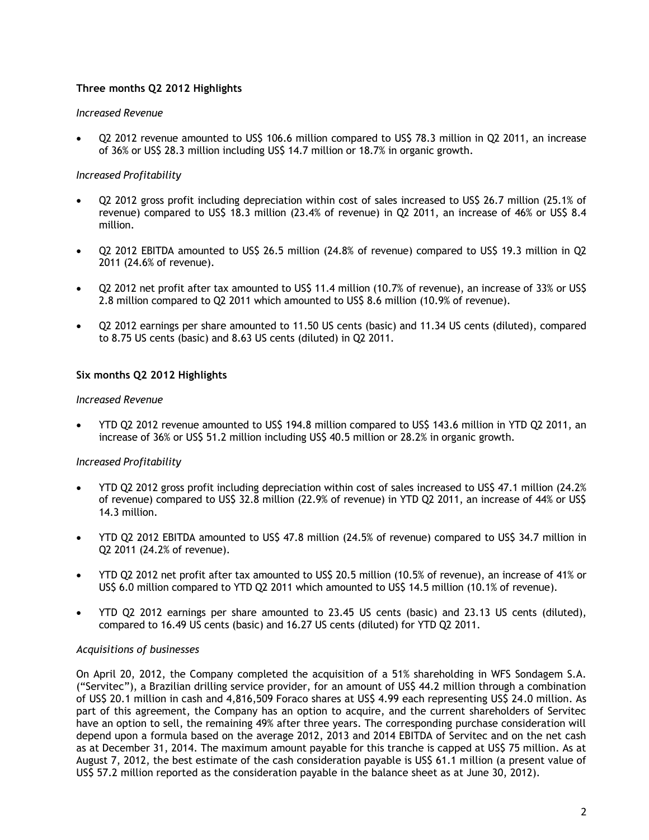# **Three months Q2 2012 Highlights**

## *Increased Revenue*

 Q2 2012 revenue amounted to US\$ 106.6 million compared to US\$ 78.3 million in Q2 2011, an increase of 36% or US\$ 28.3 million including US\$ 14.7 million or 18.7% in organic growth.

# *Increased Profitability*

- Q2 2012 gross profit including depreciation within cost of sales increased to US\$ 26.7 million (25.1% of revenue) compared to US\$ 18.3 million (23.4% of revenue) in Q2 2011, an increase of 46% or US\$ 8.4 million.
- Q2 2012 EBITDA amounted to US\$ 26.5 million (24.8% of revenue) compared to US\$ 19.3 million in Q2 2011 (24.6% of revenue).
- Q2 2012 net profit after tax amounted to US\$ 11.4 million (10.7% of revenue), an increase of 33% or US\$ 2.8 million compared to Q2 2011 which amounted to US\$ 8.6 million (10.9% of revenue).
- Q2 2012 earnings per share amounted to 11.50 US cents (basic) and 11.34 US cents (diluted), compared to 8.75 US cents (basic) and 8.63 US cents (diluted) in Q2 2011.

## **Six months Q2 2012 Highlights**

#### *Increased Revenue*

 YTD Q2 2012 revenue amounted to US\$ 194.8 million compared to US\$ 143.6 million in YTD Q2 2011, an increase of 36% or US\$ 51.2 million including US\$ 40.5 million or 28.2% in organic growth.

#### *Increased Profitability*

- YTD Q2 2012 gross profit including depreciation within cost of sales increased to US\$ 47.1 million (24.2% of revenue) compared to US\$ 32.8 million (22.9% of revenue) in YTD Q2 2011, an increase of 44% or US\$ 14.3 million.
- YTD Q2 2012 EBITDA amounted to US\$ 47.8 million (24.5% of revenue) compared to US\$ 34.7 million in Q2 2011 (24.2% of revenue).
- YTD Q2 2012 net profit after tax amounted to US\$ 20.5 million (10.5% of revenue), an increase of 41% or US\$ 6.0 million compared to YTD Q2 2011 which amounted to US\$ 14.5 million (10.1% of revenue).
- YTD Q2 2012 earnings per share amounted to 23.45 US cents (basic) and 23.13 US cents (diluted), compared to 16.49 US cents (basic) and 16.27 US cents (diluted) for YTD Q2 2011.

#### *Acquisitions of businesses*

On April 20, 2012, the Company completed the acquisition of a 51% shareholding in WFS Sondagem S.A. ("Servitec"), a Brazilian drilling service provider, for an amount of US\$ 44.2 million through a combination of US\$ 20.1 million in cash and 4,816,509 Foraco shares at US\$ 4.99 each representing US\$ 24.0 million. As part of this agreement, the Company has an option to acquire, and the current shareholders of Servitec have an option to sell, the remaining 49% after three years. The corresponding purchase consideration will depend upon a formula based on the average 2012, 2013 and 2014 EBITDA of Servitec and on the net cash as at December 31, 2014. The maximum amount payable for this tranche is capped at US\$ 75 million. As at August 7, 2012, the best estimate of the cash consideration payable is US\$ 61.1 million (a present value of US\$ 57.2 million reported as the consideration payable in the balance sheet as at June 30, 2012).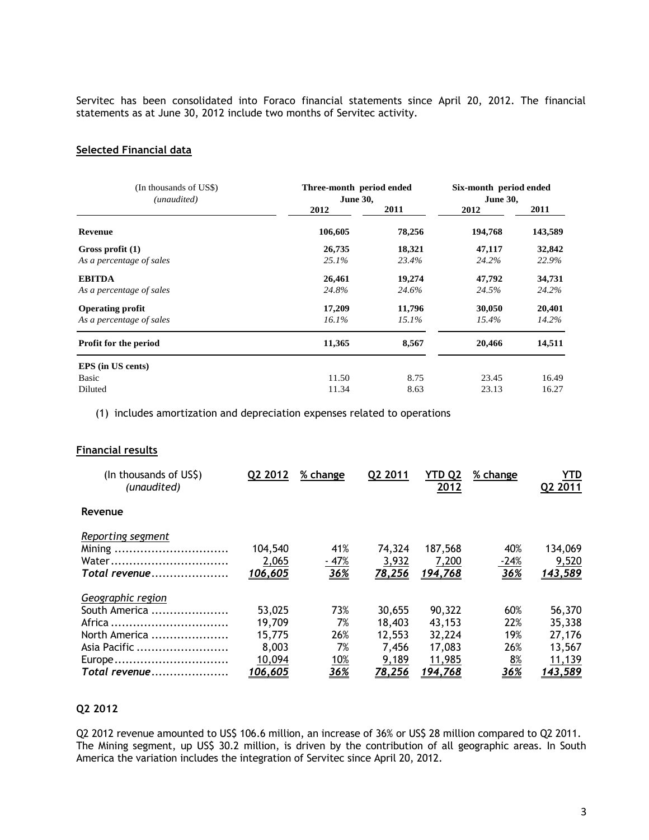Servitec has been consolidated into Foraco financial statements since April 20, 2012. The financial statements as at June 30, 2012 include two months of Servitec activity.

#### **Selected Financial data**

| (In thousands of US\$)<br>(unaudited) | Three-month period ended<br><b>June 30,</b> | Six-month period ended<br><b>June 30,</b> |         |         |
|---------------------------------------|---------------------------------------------|-------------------------------------------|---------|---------|
|                                       | 2012                                        | 2011                                      | 2012    | 2011    |
| <b>Revenue</b>                        | 106,605                                     | 78,256                                    | 194,768 | 143,589 |
| Gross profit $(1)$                    | 26,735                                      | 18,321                                    | 47,117  | 32,842  |
| As a percentage of sales              | 25.1%                                       | 23.4%                                     | 24.2%   | 22.9%   |
| <b>EBITDA</b>                         | 26,461                                      | 19,274                                    | 47,792  | 34,731  |
| As a percentage of sales              | 24.8%                                       | 24.6%                                     | 24.5%   | 24.2%   |
| <b>Operating profit</b>               | 17,209                                      | 11,796                                    | 30,050  | 20,401  |
| As a percentage of sales              | $16.1\%$                                    | 15.1%                                     | 15.4%   | 14.2%   |
| Profit for the period                 | 11,365                                      | 8,567                                     | 20,466  | 14,511  |
| EPS (in US cents)                     |                                             |                                           |         |         |
| Basic                                 | 11.50                                       | 8.75                                      | 23.45   | 16.49   |
| Diluted                               | 11.34                                       | 8.63                                      | 23.13   | 16.27   |

(1) includes amortization and depreciation expenses related to operations

#### **Financial results**

| (In thousands of US\$)<br>(unaudited)                                                   | Q2 2012                                       | % change                             | Q2 2011                                      | YTD Q2<br>2012                                 | % change                       | YTD<br>Q2 2011                                 |
|-----------------------------------------------------------------------------------------|-----------------------------------------------|--------------------------------------|----------------------------------------------|------------------------------------------------|--------------------------------|------------------------------------------------|
| Revenue                                                                                 |                                               |                                      |                                              |                                                |                                |                                                |
| Reporting segment<br>Mining<br>Water<br>Total revenue                                   | 104,540<br>2,065<br>106,605                   | 41%<br>$-47%$<br><u>36%</u>          | 74.324<br>3,932<br>78,256                    | 187,568<br>7,200<br><u>194,768</u>             | 40%<br>$-24%$<br>36%           | 134,069<br>9,520<br>143,589                    |
| Geographic region<br>South America<br>Africa<br>North America<br>Asia Pacific<br>Europe | 53,025<br>19.709<br>15,775<br>8,003<br>10,094 | 73%<br>7%<br>26%<br>7%<br><u>10%</u> | 30,655<br>18,403<br>12,553<br>7.456<br>9,189 | 90,322<br>43.153<br>32,224<br>17,083<br>11,985 | 60%<br>22%<br>19%<br>26%<br>8% | 56,370<br>35,338<br>27,176<br>13,567<br>11,139 |
| Total revenue                                                                           | 106,605                                       | 36%                                  | <u>78,256</u>                                | 194,768                                        | 36%                            | <u>143,589</u>                                 |

### **Q2 2012**

Q2 2012 revenue amounted to US\$ 106.6 million, an increase of 36% or US\$ 28 million compared to Q2 2011. The Mining segment, up US\$ 30.2 million, is driven by the contribution of all geographic areas. In South America the variation includes the integration of Servitec since April 20, 2012.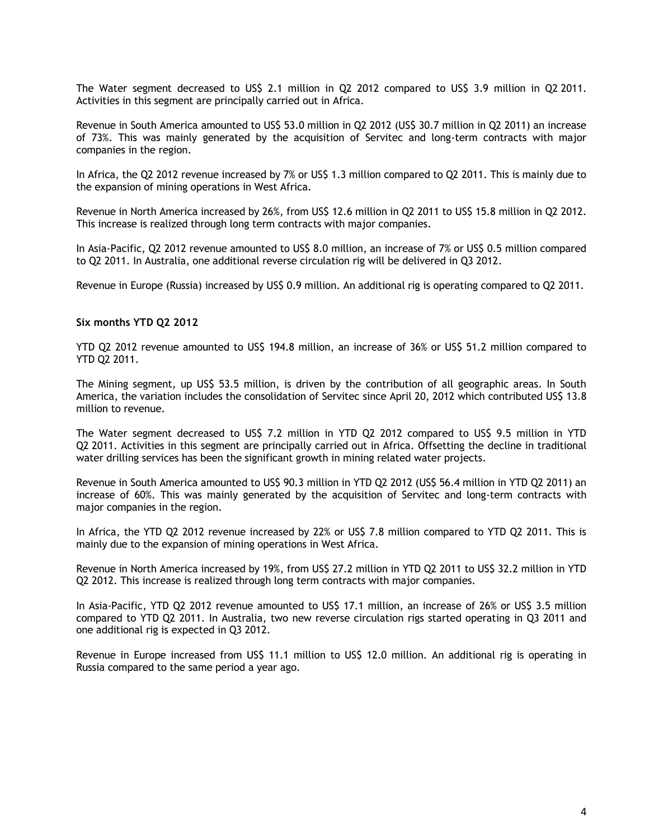The Water segment decreased to US\$ 2.1 million in Q2 2012 compared to US\$ 3.9 million in Q2 2011. Activities in this segment are principally carried out in Africa.

Revenue in South America amounted to US\$ 53.0 million in Q2 2012 (US\$ 30.7 million in Q2 2011) an increase of 73%. This was mainly generated by the acquisition of Servitec and long-term contracts with major companies in the region.

In Africa, the Q2 2012 revenue increased by 7% or US\$ 1.3 million compared to Q2 2011. This is mainly due to the expansion of mining operations in West Africa.

Revenue in North America increased by 26%, from US\$ 12.6 million in Q2 2011 to US\$ 15.8 million in Q2 2012. This increase is realized through long term contracts with major companies.

In Asia-Pacific, Q2 2012 revenue amounted to US\$ 8.0 million, an increase of 7% or US\$ 0.5 million compared to Q2 2011. In Australia, one additional reverse circulation rig will be delivered in Q3 2012.

Revenue in Europe (Russia) increased by US\$ 0.9 million. An additional rig is operating compared to Q2 2011.

#### **Six months YTD Q2 2012**

YTD Q2 2012 revenue amounted to US\$ 194.8 million, an increase of 36% or US\$ 51.2 million compared to YTD Q2 2011.

The Mining segment, up US\$ 53.5 million, is driven by the contribution of all geographic areas. In South America, the variation includes the consolidation of Servitec since April 20, 2012 which contributed US\$ 13.8 million to revenue.

The Water segment decreased to US\$ 7.2 million in YTD Q2 2012 compared to US\$ 9.5 million in YTD Q2 2011. Activities in this segment are principally carried out in Africa. Offsetting the decline in traditional water drilling services has been the significant growth in mining related water projects.

Revenue in South America amounted to US\$ 90.3 million in YTD Q2 2012 (US\$ 56.4 million in YTD Q2 2011) an increase of 60%. This was mainly generated by the acquisition of Servitec and long-term contracts with major companies in the region.

In Africa, the YTD Q2 2012 revenue increased by 22% or US\$ 7.8 million compared to YTD Q2 2011. This is mainly due to the expansion of mining operations in West Africa.

Revenue in North America increased by 19%, from US\$ 27.2 million in YTD Q2 2011 to US\$ 32.2 million in YTD Q2 2012. This increase is realized through long term contracts with major companies.

In Asia-Pacific, YTD Q2 2012 revenue amounted to US\$ 17.1 million, an increase of 26% or US\$ 3.5 million compared to YTD Q2 2011. In Australia, two new reverse circulation rigs started operating in Q3 2011 and one additional rig is expected in Q3 2012.

Revenue in Europe increased from US\$ 11.1 million to US\$ 12.0 million. An additional rig is operating in Russia compared to the same period a year ago.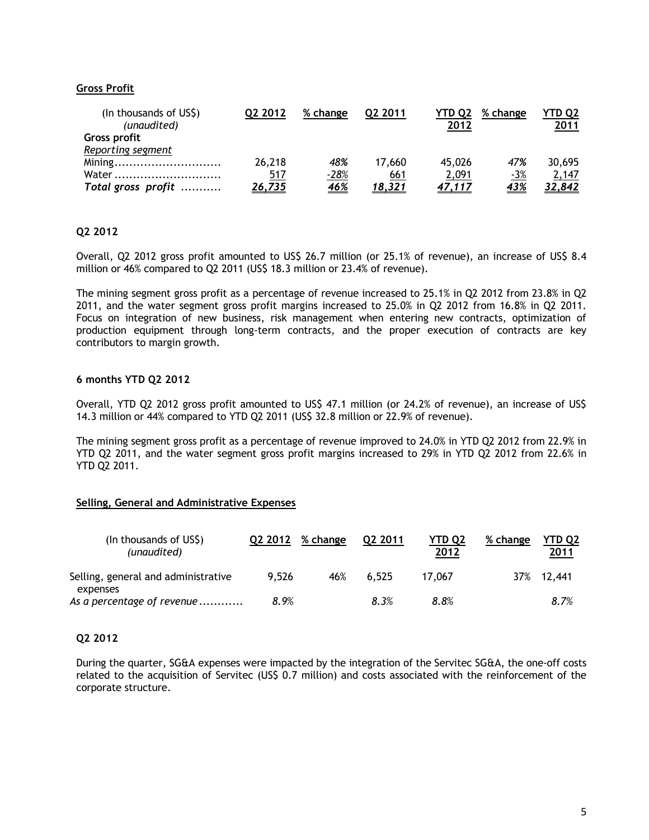# **Gross Profit**

| (In thousands of US\$)<br>(unaudited) | 02 2012 | % change   | 02 2011 | YTD 02<br>2012 | % change   | YTD O2<br>2011 |
|---------------------------------------|---------|------------|---------|----------------|------------|----------------|
| Gross profit                          |         |            |         |                |            |                |
| Reporting segment                     |         |            |         |                |            |                |
| Mining                                | 26,218  | 48%        | 17.660  | 45,026         | 47%        | 30,695         |
| Water                                 | 517     | $-28%$     | 661     | 2,091          | $-3%$      | 2,147          |
| Total gross profit                    | 26,735  | <u>46%</u> | 18,321  | 47.117         | <u>43%</u> | 32,842         |

#### **Q2 2012**

Overall, Q2 2012 gross profit amounted to US\$ 26.7 million (or 25.1% of revenue), an increase of US\$ 8.4 million or 46% compared to Q2 2011 (US\$ 18.3 million or 23.4% of revenue).

The mining segment gross profit as a percentage of revenue increased to 25.1% in Q2 2012 from 23.8% in Q2 2011, and the water segment gross profit margins increased to 25.0% in Q2 2012 from 16.8% in Q2 2011. Focus on integration of new business, risk management when entering new contracts, optimization of production equipment through long-term contracts, and the proper execution of contracts are key contributors to margin growth.

### **6 months YTD Q2 2012**

Overall, YTD Q2 2012 gross profit amounted to US\$ 47.1 million (or 24.2% of revenue), an increase of US\$ 14.3 million or 44% compared to YTD Q2 2011 (US\$ 32.8 million or 22.9% of revenue).

The mining segment gross profit as a percentage of revenue improved to 24.0% in YTD Q2 2012 from 22.9% in YTD Q2 2011, and the water segment gross profit margins increased to 29% in YTD Q2 2012 from 22.6% in YTD Q2 2011.

#### **Selling, General and Administrative Expenses**

| (In thousands of US\$)<br>(unaudited)  | Q <sub>2</sub> 2012 | % change | 02 2011 | <b>YTD Q2</b><br>2012 | % change | YTD Q2<br>2011 |
|----------------------------------------|---------------------|----------|---------|-----------------------|----------|----------------|
| Selling, general and administrative    | 9.526               | 46%      | 6.525   | 17.067                |          | 37% 12,441     |
| expenses<br>As a percentage of revenue | 8.9%                |          | 8.3%    | 8.8%                  |          | 8.7%           |

#### **Q2 2012**

During the quarter, SG&A expenses were impacted by the integration of the Servitec SG&A, the one-off costs related to the acquisition of Servitec (US\$ 0.7 million) and costs associated with the reinforcement of the corporate structure.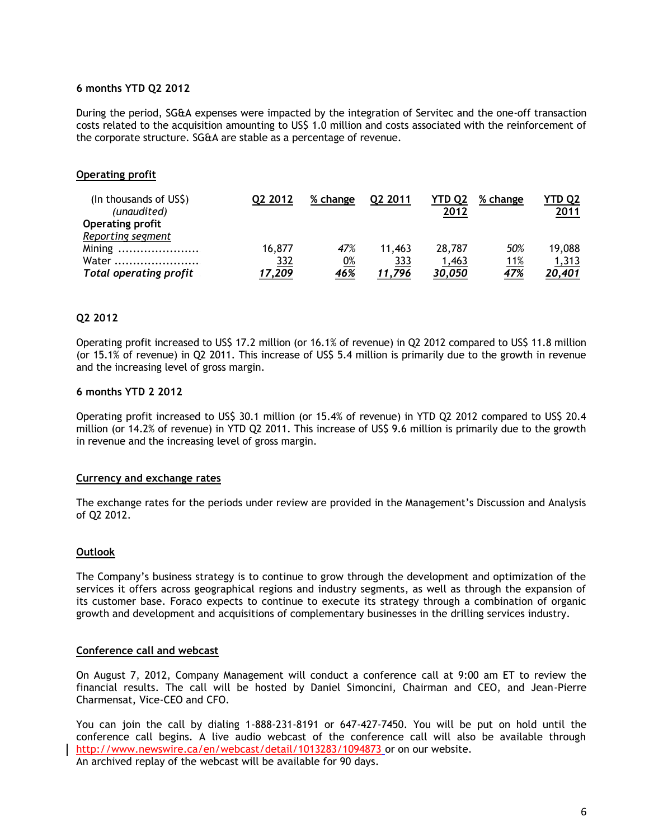#### **6 months YTD Q2 2012**

During the period, SG&A expenses were impacted by the integration of Servitec and the one-off transaction costs related to the acquisition amounting to US\$ 1.0 million and costs associated with the reinforcement of the corporate structure. SG&A are stable as a percentage of revenue.

# **Operating profit**

| (In thousands of US\$)<br>(unaudited) | Q <sub>2</sub> 2012 | % change   | 02 2011 | YTD 02<br>2012 | % change    | YTD Q2<br><u>2011</u> |
|---------------------------------------|---------------------|------------|---------|----------------|-------------|-----------------------|
| <b>Operating profit</b>               |                     |            |         |                |             |                       |
| Reporting segment                     |                     |            |         |                |             |                       |
| Mining                                | 16,877              | 47%        | 11,463  | 28,787         | 50%         | 19,088                |
| Water                                 | <u>332</u>          | <u>0%</u>  | 333     | 1,463          | <u> 11%</u> | 1,313                 |
| <b>Total operating profit</b>         | ,209                | <u>46%</u> | 11.796  | 30.050         | <u>47%</u>  | <u>20,401</u>         |

## **Q2 2012**

Operating profit increased to US\$ 17.2 million (or 16.1% of revenue) in Q2 2012 compared to US\$ 11.8 million (or 15.1% of revenue) in Q2 2011. This increase of US\$ 5.4 million is primarily due to the growth in revenue and the increasing level of gross margin.

#### **6 months YTD 2 2012**

Operating profit increased to US\$ 30.1 million (or 15.4% of revenue) in YTD Q2 2012 compared to US\$ 20.4 million (or 14.2% of revenue) in YTD Q2 2011. This increase of US\$ 9.6 million is primarily due to the growth in revenue and the increasing level of gross margin.

#### **Currency and exchange rates**

The exchange rates for the periods under review are provided in the Management's Discussion and Analysis of Q2 2012.

#### **Outlook**

The Company's business strategy is to continue to grow through the development and optimization of the services it offers across geographical regions and industry segments, as well as through the expansion of its customer base. Foraco expects to continue to execute its strategy through a combination of organic growth and development and acquisitions of complementary businesses in the drilling services industry.

#### **Conference call and webcast**

On August 7, 2012, Company Management will conduct a conference call at 9:00 am ET to review the financial results. The call will be hosted by Daniel Simoncini, Chairman and CEO, and Jean-Pierre Charmensat, Vice-CEO and CFO.

You can join the call by dialing 1-888-231-8191 or 647-427-7450. You will be put on hold until the conference call begins. A live audio webcast of the conference call will also be available through <http://www.newswire.ca/en/webcast/detail/1013283/1094873> or on our website. An archived replay of the webcast will be available for 90 days.